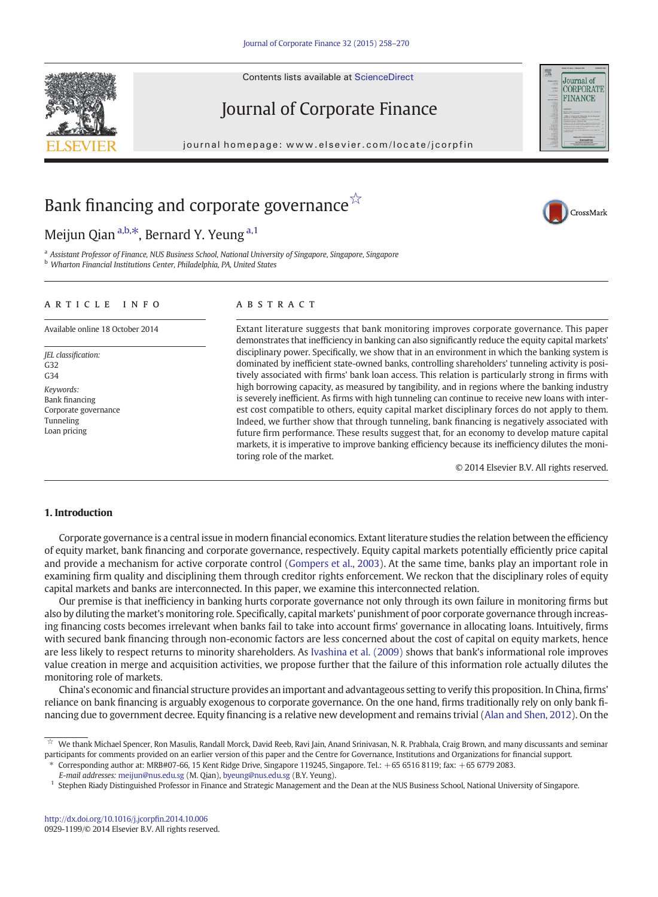Contents lists available at ScienceDirect





CrossMark

# Journal of Corporate Finance

journal homepage: www.elsevier.com/locate/jcorp/locate/jcorp/locate/jcorp/locate/jcorp/interval homepage:  $\mathcal{O}(\mathcal{C})$ 

# Bank financing and corporate governance $\overline{\mathbb{X}}$

## Meijun Qian  $a,b,*$ , Bernard Y. Yeung  $a,1$

<sup>a</sup> Assistant Professor of Finance, NUS Business School, National University of Singapore, Singapore, Singapore **b** Wharton Financial Institutions Center, Philadelphia, PA, United States

## article info abstract

JEL classification: G32  $C34$ Keywords: Bank financing Corporate governance Tunneling Loan pricing

Available online 18 October 2014 Extant literature suggests that bank monitoring improves corporate governance. This paper demonstrates that inefficiency in banking can also significantly reduce the equity capital markets' disciplinary power. Specifically, we show that in an environment in which the banking system is dominated by inefficient state-owned banks, controlling shareholders' tunneling activity is positively associated with firms' bank loan access. This relation is particularly strong in firms with high borrowing capacity, as measured by tangibility, and in regions where the banking industry is severely inefficient. As firms with high tunneling can continue to receive new loans with interest cost compatible to others, equity capital market disciplinary forces do not apply to them. Indeed, we further show that through tunneling, bank financing is negatively associated with future firm performance. These results suggest that, for an economy to develop mature capital markets, it is imperative to improve banking efficiency because its inefficiency dilutes the monitoring role of the market.

© 2014 Elsevier B.V. All rights reserved.

## 1. Introduction

Corporate governance is a central issue in modern financial economics. Extant literature studies the relation between the efficiency of equity market, bank financing and corporate governance, respectively. Equity capital markets potentially efficiently price capital and provide a mechanism for active corporate control ([Gompers et al., 2003\)](#page--1-0). At the same time, banks play an important role in examining firm quality and disciplining them through creditor rights enforcement. We reckon that the disciplinary roles of equity capital markets and banks are interconnected. In this paper, we examine this interconnected relation.

Our premise is that inefficiency in banking hurts corporate governance not only through its own failure in monitoring firms but also by diluting the market's monitoring role. Specifically, capital markets' punishment of poor corporate governance through increasing financing costs becomes irrelevant when banks fail to take into account firms' governance in allocating loans. Intuitively, firms with secured bank financing through non-economic factors are less concerned about the cost of capital on equity markets, hence are less likely to respect returns to minority shareholders. As [Ivashina et al. \(2009\)](#page--1-0) shows that bank's informational role improves value creation in merge and acquisition activities, we propose further that the failure of this information role actually dilutes the monitoring role of markets.

China's economic and financial structure provides an important and advantageous setting to verify this proposition. In China, firms' reliance on bank financing is arguably exogenous to corporate governance. On the one hand, firms traditionally rely on only bank financing due to government decree. Equity financing is a relative new development and remains trivial [\(Alan and Shen, 2012\)](#page--1-0). On the

⁎ Corresponding author at: MRB#07-66, 15 Kent Ridge Drive, Singapore 119245, Singapore. Tel.: +65 6516 8119; fax: +65 6779 2083.

E-mail addresses: [meijun@nus.edu.sg](mailto:meijun@nus.edu.sg) (M. Qian), [byeung@nus.edu.sg](mailto:byeung@nus.edu.sg) (B.Y. Yeung).

<sup>☆</sup> We thank Michael Spencer, Ron Masulis, Randall Morck, David Reeb, Ravi Jain, Anand Srinivasan, N. R. Prabhala, Craig Brown, and many discussants and seminar participants for comments provided on an earlier version of this paper and the Centre for Governance, Institutions and Organizations for financial support.

<sup>&</sup>lt;sup>1</sup> Stephen Riady Distinguished Professor in Finance and Strategic Management and the Dean at the NUS Business School, National University of Singapore.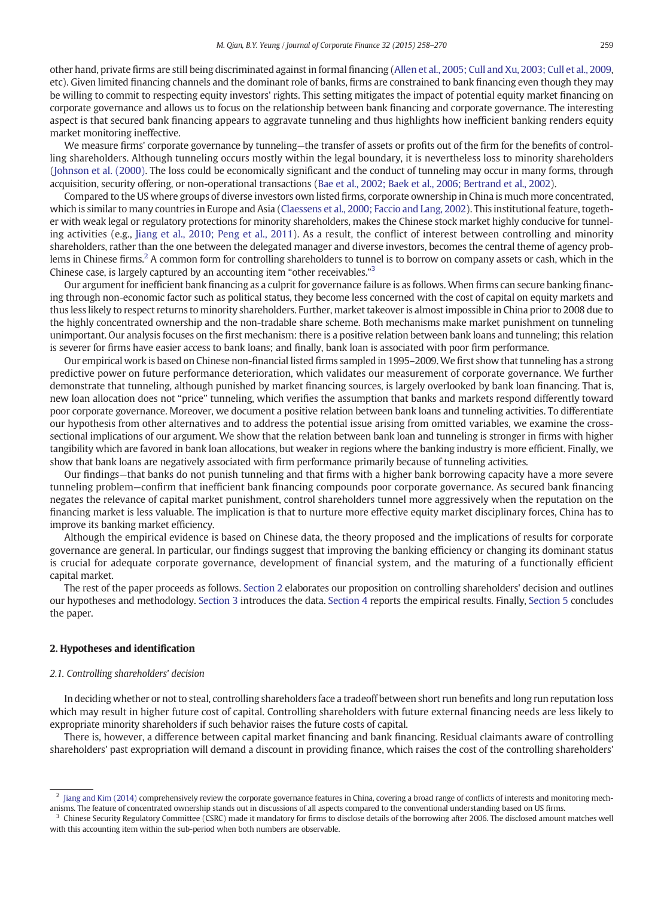other hand, private firms are still being discriminated against in formal financing [\(Allen et al., 2005; Cull and Xu, 2003; Cull et al., 2009,](#page--1-0) etc). Given limited financing channels and the dominant role of banks, firms are constrained to bank financing even though they may be willing to commit to respecting equity investors' rights. This setting mitigates the impact of potential equity market financing on corporate governance and allows us to focus on the relationship between bank financing and corporate governance. The interesting aspect is that secured bank financing appears to aggravate tunneling and thus highlights how inefficient banking renders equity market monitoring ineffective.

We measure firms' corporate governance by tunneling—the transfer of assets or profits out of the firm for the benefits of controlling shareholders. Although tunneling occurs mostly within the legal boundary, it is nevertheless loss to minority shareholders ([Johnson et al. \(2000\)](#page--1-0). The loss could be economically significant and the conduct of tunneling may occur in many forms, through acquisition, security offering, or non-operational transactions [\(Bae et al., 2002; Baek et al., 2006; Bertrand et al., 2002](#page--1-0)).

Compared to the US where groups of diverse investors own listed firms, corporate ownership in China is much more concentrated, which is similar to many countries in Europe and Asia ([Claessens et al., 2000; Faccio and Lang, 2002\)](#page--1-0). This institutional feature, together with weak legal or regulatory protections for minority shareholders, makes the Chinese stock market highly conducive for tunneling activities (e.g., [Jiang et al., 2010; Peng et al., 2011](#page--1-0)). As a result, the conflict of interest between controlling and minority shareholders, rather than the one between the delegated manager and diverse investors, becomes the central theme of agency problems in Chinese firms.2 A common form for controlling shareholders to tunnel is to borrow on company assets or cash, which in the Chinese case, is largely captured by an accounting item "other receivables."<sup>3</sup>

Our argument for inefficient bank financing as a culprit for governance failure is as follows. When firms can secure banking financing through non-economic factor such as political status, they become less concerned with the cost of capital on equity markets and thus less likely to respect returns to minority shareholders. Further, market takeover is almost impossible in China prior to 2008 due to the highly concentrated ownership and the non-tradable share scheme. Both mechanisms make market punishment on tunneling unimportant. Our analysis focuses on the first mechanism: there is a positive relation between bank loans and tunneling; this relation is severer for firms have easier access to bank loans; and finally, bank loan is associated with poor firm performance.

Our empirical work is based on Chinese non-financial listed firms sampled in 1995–2009.We first show that tunneling has a strong predictive power on future performance deterioration, which validates our measurement of corporate governance. We further demonstrate that tunneling, although punished by market financing sources, is largely overlooked by bank loan financing. That is, new loan allocation does not "price" tunneling, which verifies the assumption that banks and markets respond differently toward poor corporate governance. Moreover, we document a positive relation between bank loans and tunneling activities. To differentiate our hypothesis from other alternatives and to address the potential issue arising from omitted variables, we examine the crosssectional implications of our argument. We show that the relation between bank loan and tunneling is stronger in firms with higher tangibility which are favored in bank loan allocations, but weaker in regions where the banking industry is more efficient. Finally, we show that bank loans are negatively associated with firm performance primarily because of tunneling activities.

Our findings—that banks do not punish tunneling and that firms with a higher bank borrowing capacity have a more severe tunneling problem—confirm that inefficient bank financing compounds poor corporate governance. As secured bank financing negates the relevance of capital market punishment, control shareholders tunnel more aggressively when the reputation on the financing market is less valuable. The implication is that to nurture more effective equity market disciplinary forces, China has to improve its banking market efficiency.

Although the empirical evidence is based on Chinese data, the theory proposed and the implications of results for corporate governance are general. In particular, our findings suggest that improving the banking efficiency or changing its dominant status is crucial for adequate corporate governance, development of financial system, and the maturing of a functionally efficient capital market.

The rest of the paper proceeds as follows. Section 2 elaborates our proposition on controlling shareholders' decision and outlines our hypotheses and methodology. [Section 3](#page--1-0) introduces the data. [Section 4](#page--1-0) reports the empirical results. Finally, [Section 5](#page--1-0) concludes the paper.

## 2. Hypotheses and identification

### 2.1. Controlling shareholders' decision

In deciding whether or not to steal, controlling shareholders face a tradeoff between short run benefits and long run reputation loss which may result in higher future cost of capital. Controlling shareholders with future external financing needs are less likely to expropriate minority shareholders if such behavior raises the future costs of capital.

There is, however, a difference between capital market financing and bank financing. Residual claimants aware of controlling shareholders' past expropriation will demand a discount in providing finance, which raises the cost of the controlling shareholders'

 $<sup>2</sup>$  [Jiang and Kim \(2014\)](#page--1-0) comprehensively review the corporate governance features in China, covering a broad range of conflicts of interests and monitoring mech-</sup> anisms. The feature of concentrated ownership stands out in discussions of all aspects compared to the conventional understanding based on US firms.

<sup>&</sup>lt;sup>3</sup> Chinese Security Regulatory Committee (CSRC) made it mandatory for firms to disclose details of the borrowing after 2006. The disclosed amount matches well with this accounting item within the sub-period when both numbers are observable.